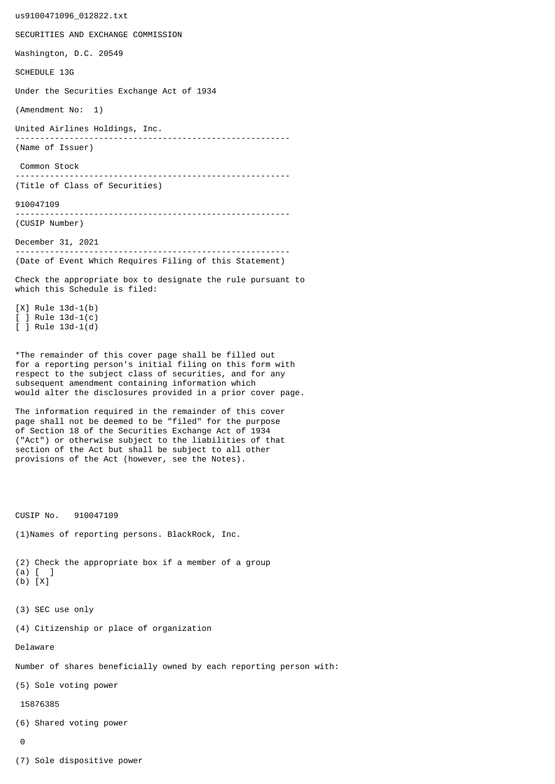us9100471096\_012822.txt SECURITIES AND EXCHANGE COMMISSION Washington, D.C. 20549 SCHEDULE 13G Under the Securities Exchange Act of 1934 (Amendment No: 1) United Airlines Holdings, Inc. -------------------------------------------------------- (Name of Issuer) Common Stock -------------------------------------------------------- (Title of Class of Securities) 910047109 -------------------------------------------------------- (CUSIP Number) December 31, 2021 -------------------------------------------------------- (Date of Event Which Requires Filing of this Statement) Check the appropriate box to designate the rule pursuant to which this Schedule is filed: [X] Rule 13d-1(b) [ ] Rule 13d-1(c) [ ] Rule 13d-1(d) \*The remainder of this cover page shall be filled out for a reporting person's initial filing on this form with respect to the subject class of securities, and for any subsequent amendment containing information which would alter the disclosures provided in a prior cover page. The information required in the remainder of this cover page shall not be deemed to be "filed" for the purpose of Section 18 of the Securities Exchange Act of 1934 ("Act") or otherwise subject to the liabilities of that section of the Act but shall be subject to all other provisions of the Act (however, see the Notes). CUSIP No. 910047109 (1)Names of reporting persons. BlackRock, Inc. (2) Check the appropriate box if a member of a group (a) [ ] (b) [X] (3) SEC use only (4) Citizenship or place of organization Delaware Number of shares beneficially owned by each reporting person with: (5) Sole voting power 15876385 (6) Shared voting power  $\Omega$ 

(7) Sole dispositive power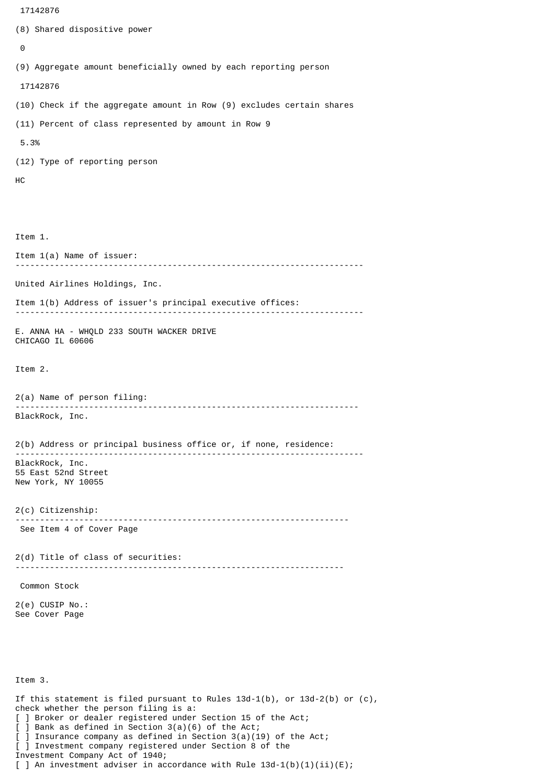```
 17142876
(8) Shared dispositive power
 \boldsymbol{\Theta}(9) Aggregate amount beneficially owned by each reporting person
  17142876
(10) Check if the aggregate amount in Row (9) excludes certain shares
(11) Percent of class represented by amount in Row 9
 5.3%
(12) Type of reporting person
HC
Item 1.
Item 1(a) Name of issuer:
                                -----------------------------------------------------------------------
United Airlines Holdings, Inc.
Item 1(b) Address of issuer's principal executive offices:
-----------------------------------------------------------------------
E. ANNA HA - WHQLD 233 SOUTH WACKER DRIVE
CHICAGO IL 60606
Item 2.
2(a) Name of person filing:
               ----------------------------------------------------------------------
BlackRock, Inc.
2(b) Address or principal business office or, if none, residence:
 -----------------------------------------------------------------------
BlackRock, Inc.
55 East 52nd Street
New York, NY 10055
2(c) Citizenship:
                            --------------------------------------------------------------------
 See Item 4 of Cover Page
2(d) Title of class of securities:
                                       -------------------------------------------------------------------
 Common Stock
2(e) CUSIP No.:
See Cover Page
Item 3.
If this statement is filed pursuant to Rules 13d-1(b), or 13d-2(b) or (c),
check whether the person filing is a:
[ ] Broker or dealer registered under Section 15 of the Act;
[ ] Bank as defined in Section 3(a)(6) of the Act;
```
] Insurance company as defined in Section  $3(a)(19)$  of the Act; [ ] Investment company registered under Section 8 of the Investment Company Act of 1940;

[ ] An investment adviser in accordance with Rule  $13d-1(b)(1)(ii)(E)$ ;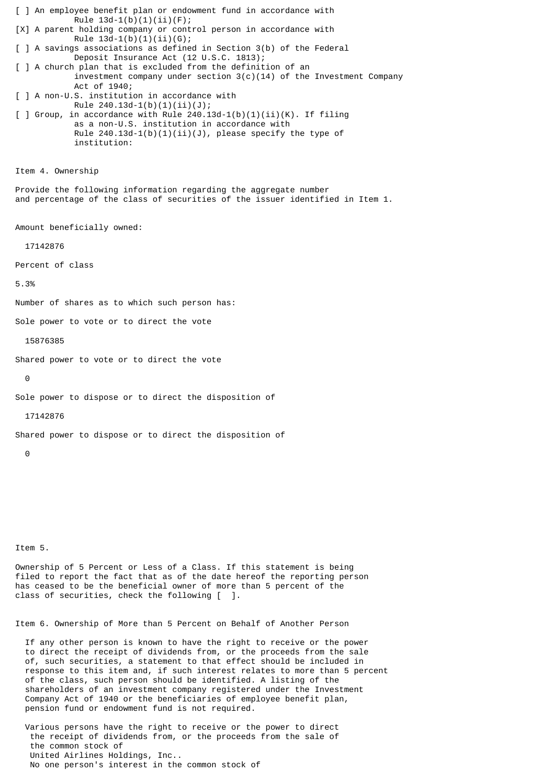[ ] An employee benefit plan or endowment fund in accordance with Rule  $13d-1(b)(1)(ii)(F);$ [X] A parent holding company or control person in accordance with Rule  $13d-1(b)(1)(ii)(G);$ [ ] A savings associations as defined in Section 3(b) of the Federal Deposit Insurance Act (12 U.S.C. 1813); [ ] A church plan that is excluded from the definition of an investment company under section  $3(c)(14)$  of the Investment Company Act of 1940; [ ] A non-U.S. institution in accordance with Rule 240.13d-1(b)(1)(ii)(J);  $\lceil$  ] Group, in accordance with Rule 240.13d-1(b)(1)(ii)(K). If filing as a non-U.S. institution in accordance with Rule  $240.13d-1(b)(1)(ii)(J)$ , please specify the type of institution: Item 4. Ownership

Provide the following information regarding the aggregate number and percentage of the class of securities of the issuer identified in Item 1.

Amount beneficially owned:

17142876

Percent of class

5.3%

Number of shares as to which such person has:

Sole power to vote or to direct the vote

15876385

Shared power to vote or to direct the vote

 $\Theta$ 

Sole power to dispose or to direct the disposition of

17142876

Shared power to dispose or to direct the disposition of

 $\Omega$ 

Item 5.

Ownership of 5 Percent or Less of a Class. If this statement is being filed to report the fact that as of the date hereof the reporting person has ceased to be the beneficial owner of more than 5 percent of the class of securities, check the following [ ].

Item 6. Ownership of More than 5 Percent on Behalf of Another Person

 If any other person is known to have the right to receive or the power to direct the receipt of dividends from, or the proceeds from the sale of, such securities, a statement to that effect should be included in response to this item and, if such interest relates to more than 5 percent of the class, such person should be identified. A listing of the shareholders of an investment company registered under the Investment Company Act of 1940 or the beneficiaries of employee benefit plan, pension fund or endowment fund is not required.

 Various persons have the right to receive or the power to direct the receipt of dividends from, or the proceeds from the sale of the common stock of United Airlines Holdings, Inc.. No one person's interest in the common stock of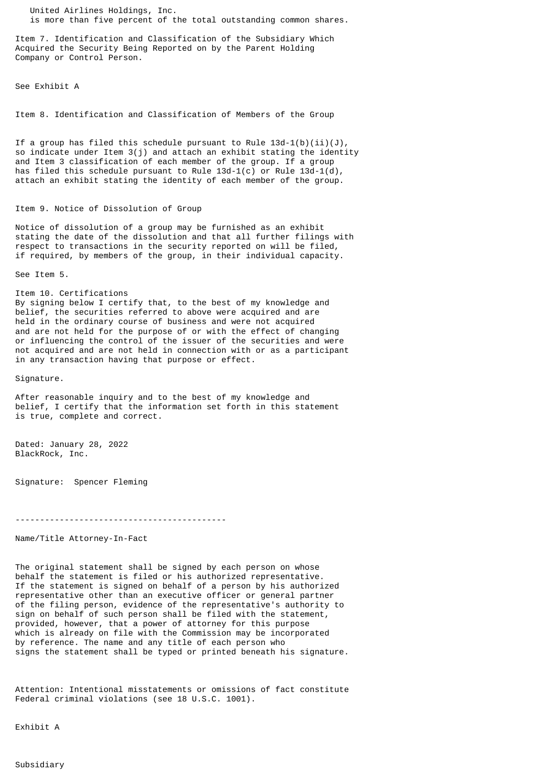United Airlines Holdings, Inc. is more than five percent of the total outstanding common shares.

Item 7. Identification and Classification of the Subsidiary Which Acquired the Security Being Reported on by the Parent Holding Company or Control Person.

See Exhibit A

Item 8. Identification and Classification of Members of the Group

If a group has filed this schedule pursuant to Rule  $13d-1(b)(ii)(J)$ , so indicate under Item 3(j) and attach an exhibit stating the identity and Item 3 classification of each member of the group. If a group has filed this schedule pursuant to Rule  $13d-1(c)$  or Rule  $13d-1(d)$ , attach an exhibit stating the identity of each member of the group.

## Item 9. Notice of Dissolution of Group

Notice of dissolution of a group may be furnished as an exhibit stating the date of the dissolution and that all further filings with respect to transactions in the security reported on will be filed, if required, by members of the group, in their individual capacity.

See Item 5.

Item 10. Certifications By signing below I certify that, to the best of my knowledge and belief, the securities referred to above were acquired and are held in the ordinary course of business and were not acquired and are not held for the purpose of or with the effect of changing or influencing the control of the issuer of the securities and were not acquired and are not held in connection with or as a participant in any transaction having that purpose or effect.

Signature.

After reasonable inquiry and to the best of my knowledge and belief, I certify that the information set forth in this statement is true, complete and correct.

Dated: January 28, 2022 BlackRock, Inc.

Signature: Spencer Fleming

-------------------------------------------

Name/Title Attorney-In-Fact

The original statement shall be signed by each person on whose behalf the statement is filed or his authorized representative. If the statement is signed on behalf of a person by his authorized representative other than an executive officer or general partner of the filing person, evidence of the representative's authority to sign on behalf of such person shall be filed with the statement, provided, however, that a power of attorney for this purpose which is already on file with the Commission may be incorporated by reference. The name and any title of each person who signs the statement shall be typed or printed beneath his signature.

Attention: Intentional misstatements or omissions of fact constitute Federal criminal violations (see 18 U.S.C. 1001).

Exhibit A